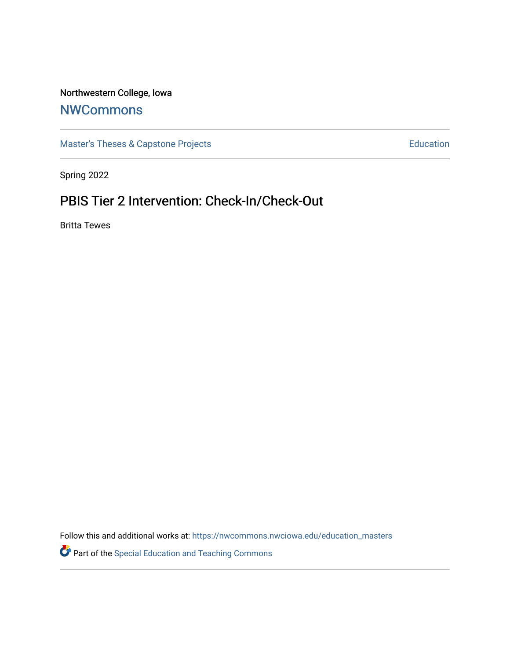# Northwestern College, Iowa

# **[NWCommons](https://nwcommons.nwciowa.edu/)**

[Master's Theses & Capstone Projects](https://nwcommons.nwciowa.edu/education_masters) **Education** Education

Spring 2022

# PBIS Tier 2 Intervention: Check-In/Check-Out

Britta Tewes

Follow this and additional works at: [https://nwcommons.nwciowa.edu/education\\_masters](https://nwcommons.nwciowa.edu/education_masters?utm_source=nwcommons.nwciowa.edu%2Feducation_masters%2F409&utm_medium=PDF&utm_campaign=PDFCoverPages)

Part of the [Special Education and Teaching Commons](https://network.bepress.com/hgg/discipline/801?utm_source=nwcommons.nwciowa.edu%2Feducation_masters%2F409&utm_medium=PDF&utm_campaign=PDFCoverPages)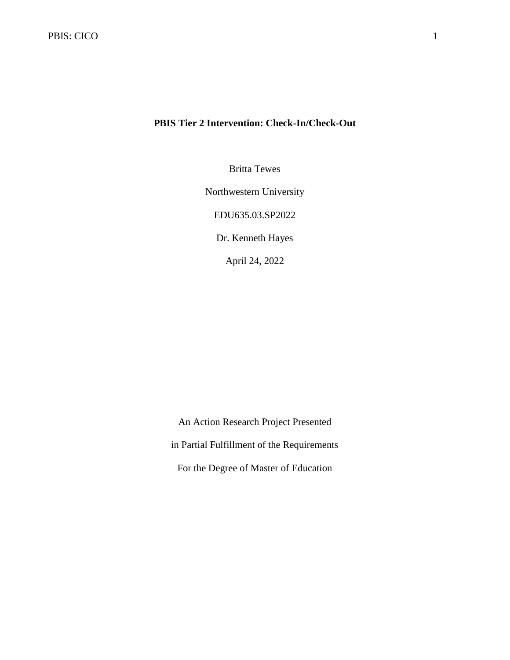# **PBIS Tier 2 Intervention: Check-In/Check-Out**

Britta Tewes

Northwestern University

EDU635.03.SP2022

Dr. Kenneth Hayes

April 24, 2022

An Action Research Project Presented in Partial Fulfillment of the Requirements For the Degree of Master of Education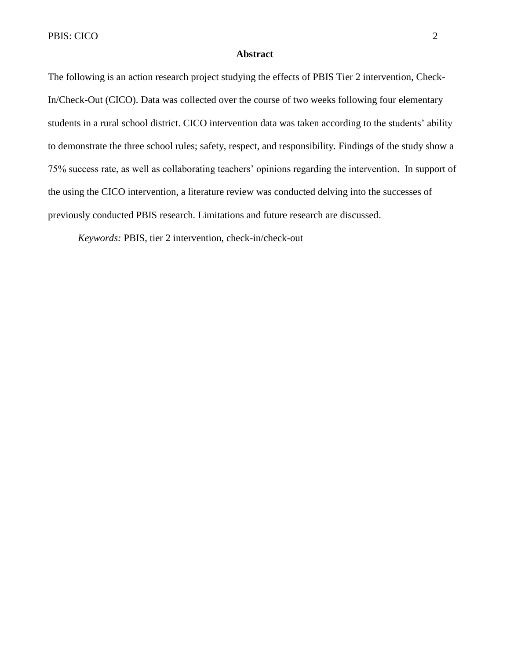#### **Abstract**

The following is an action research project studying the effects of PBIS Tier 2 intervention, Check-In/Check-Out (CICO). Data was collected over the course of two weeks following four elementary students in a rural school district. CICO intervention data was taken according to the students' ability to demonstrate the three school rules; safety, respect, and responsibility. Findings of the study show a 75% success rate, as well as collaborating teachers' opinions regarding the intervention. In support of the using the CICO intervention, a literature review was conducted delving into the successes of previously conducted PBIS research. Limitations and future research are discussed.

*Keywords:* PBIS, tier 2 intervention, check-in/check-out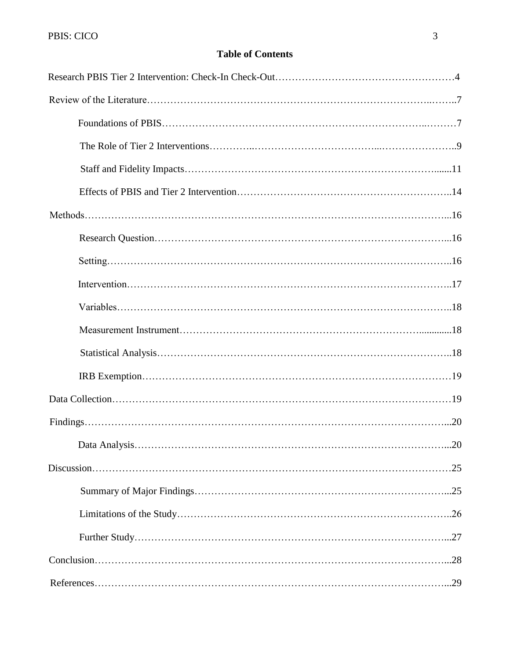# **Table of Contents**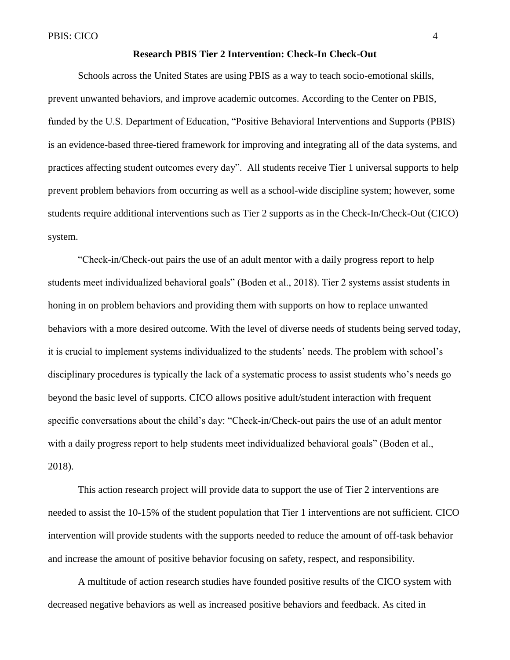#### **Research PBIS Tier 2 Intervention: Check-In Check-Out**

Schools across the United States are using PBIS as a way to teach socio-emotional skills, prevent unwanted behaviors, and improve academic outcomes. According to the Center on PBIS, funded by the U.S. Department of Education, "Positive Behavioral Interventions and Supports (PBIS) is an evidence-based three-tiered framework for improving and integrating all of the data systems, and practices affecting student outcomes every day". All students receive Tier 1 universal supports to help prevent problem behaviors from occurring as well as a school-wide discipline system; however, some students require additional interventions such as Tier 2 supports as in the Check-In/Check-Out (CICO) system.

"Check-in/Check-out pairs the use of an adult mentor with a daily progress report to help students meet individualized behavioral goals" (Boden et al., 2018). Tier 2 systems assist students in honing in on problem behaviors and providing them with supports on how to replace unwanted behaviors with a more desired outcome. With the level of diverse needs of students being served today, it is crucial to implement systems individualized to the students' needs. The problem with school's disciplinary procedures is typically the lack of a systematic process to assist students who's needs go beyond the basic level of supports. CICO allows positive adult/student interaction with frequent specific conversations about the child's day: "Check-in/Check-out pairs the use of an adult mentor with a daily progress report to help students meet individualized behavioral goals" (Boden et al., 2018).

This action research project will provide data to support the use of Tier 2 interventions are needed to assist the 10-15% of the student population that Tier 1 interventions are not sufficient. CICO intervention will provide students with the supports needed to reduce the amount of off-task behavior and increase the amount of positive behavior focusing on safety, respect, and responsibility.

A multitude of action research studies have founded positive results of the CICO system with decreased negative behaviors as well as increased positive behaviors and feedback. As cited in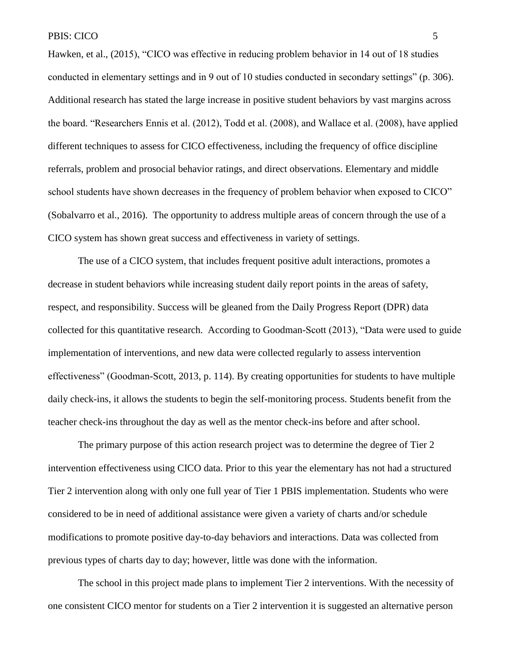Hawken, et al., (2015), "CICO was effective in reducing problem behavior in 14 out of 18 studies conducted in elementary settings and in 9 out of 10 studies conducted in secondary settings" (p. 306). Additional research has stated the large increase in positive student behaviors by vast margins across the board. "Researchers Ennis et al. (2012), Todd et al. (2008), and Wallace et al. (2008), have applied different techniques to assess for CICO effectiveness, including the frequency of office discipline referrals, problem and prosocial behavior ratings, and direct observations. Elementary and middle school students have shown decreases in the frequency of problem behavior when exposed to CICO" (Sobalvarro et al., 2016). The opportunity to address multiple areas of concern through the use of a CICO system has shown great success and effectiveness in variety of settings.

The use of a CICO system, that includes frequent positive adult interactions, promotes a decrease in student behaviors while increasing student daily report points in the areas of safety, respect, and responsibility. Success will be gleaned from the Daily Progress Report (DPR) data collected for this quantitative research. According to Goodman-Scott (2013), "Data were used to guide implementation of interventions, and new data were collected regularly to assess intervention effectiveness" (Goodman-Scott, 2013, p. 114). By creating opportunities for students to have multiple daily check-ins, it allows the students to begin the self-monitoring process. Students benefit from the teacher check-ins throughout the day as well as the mentor check-ins before and after school.

The primary purpose of this action research project was to determine the degree of Tier 2 intervention effectiveness using CICO data. Prior to this year the elementary has not had a structured Tier 2 intervention along with only one full year of Tier 1 PBIS implementation. Students who were considered to be in need of additional assistance were given a variety of charts and/or schedule modifications to promote positive day-to-day behaviors and interactions. Data was collected from previous types of charts day to day; however, little was done with the information.

The school in this project made plans to implement Tier 2 interventions. With the necessity of one consistent CICO mentor for students on a Tier 2 intervention it is suggested an alternative person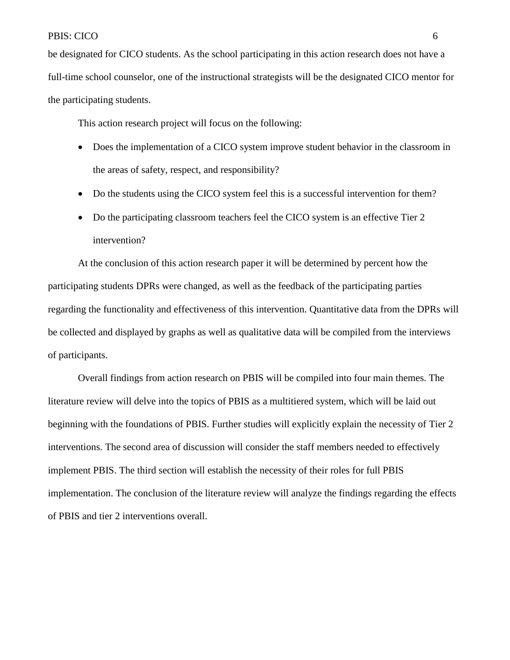be designated for CICO students. As the school participating in this action research does not have a full-time school counselor, one of the instructional strategists will be the designated CICO mentor for the participating students.

This action research project will focus on the following:

- Does the implementation of a CICO system improve student behavior in the classroom in the areas of safety, respect, and responsibility?
- Do the students using the CICO system feel this is a successful intervention for them?
- Do the participating classroom teachers feel the CICO system is an effective Tier 2 intervention?

At the conclusion of this action research paper it will be determined by percent how the participating students DPRs were changed, as well as the feedback of the participating parties regarding the functionality and effectiveness of this intervention. Quantitative data from the DPRs will be collected and displayed by graphs as well as qualitative data will be compiled from the interviews of participants.

Overall findings from action research on PBIS will be compiled into four main themes. The literature review will delve into the topics of PBIS as a multitiered system, which will be laid out beginning with the foundations of PBIS. Further studies will explicitly explain the necessity of Tier 2 interventions. The second area of discussion will consider the staff members needed to effectively implement PBIS. The third section will establish the necessity of their roles for full PBIS implementation. The conclusion of the literature review will analyze the findings regarding the effects of PBIS and tier 2 interventions overall.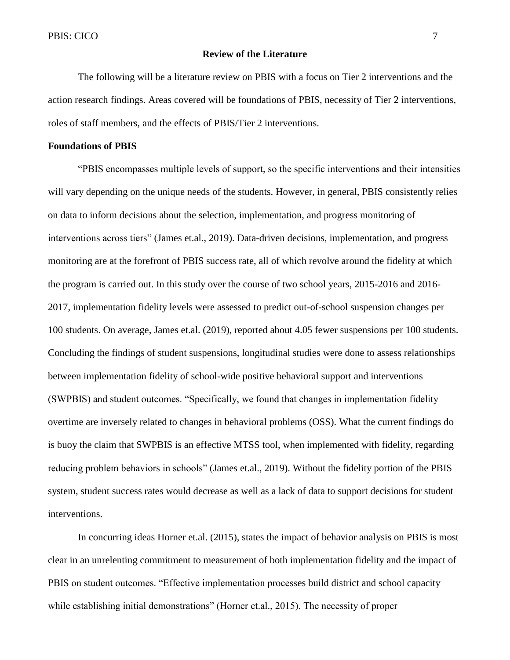#### **Review of the Literature**

The following will be a literature review on PBIS with a focus on Tier 2 interventions and the action research findings. Areas covered will be foundations of PBIS, necessity of Tier 2 interventions, roles of staff members, and the effects of PBIS/Tier 2 interventions.

#### **Foundations of PBIS**

"PBIS encompasses multiple levels of support, so the specific interventions and their intensities will vary depending on the unique needs of the students. However, in general, PBIS consistently relies on data to inform decisions about the selection, implementation, and progress monitoring of interventions across tiers" (James et.al., 2019). Data-driven decisions, implementation, and progress monitoring are at the forefront of PBIS success rate, all of which revolve around the fidelity at which the program is carried out. In this study over the course of two school years, 2015-2016 and 2016- 2017, implementation fidelity levels were assessed to predict out-of-school suspension changes per 100 students. On average, James et.al. (2019), reported about 4.05 fewer suspensions per 100 students. Concluding the findings of student suspensions, longitudinal studies were done to assess relationships between implementation fidelity of school-wide positive behavioral support and interventions (SWPBIS) and student outcomes. "Specifically, we found that changes in implementation fidelity overtime are inversely related to changes in behavioral problems (OSS). What the current findings do is buoy the claim that SWPBIS is an effective MTSS tool, when implemented with fidelity, regarding reducing problem behaviors in schools" (James et.al., 2019). Without the fidelity portion of the PBIS system, student success rates would decrease as well as a lack of data to support decisions for student interventions.

In concurring ideas Horner et.al. (2015), states the impact of behavior analysis on PBIS is most clear in an unrelenting commitment to measurement of both implementation fidelity and the impact of PBIS on student outcomes. "Effective implementation processes build district and school capacity while establishing initial demonstrations" (Horner et.al., 2015). The necessity of proper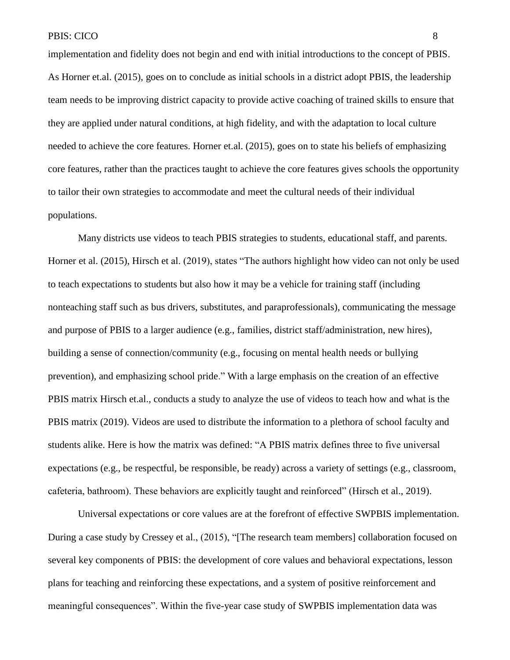implementation and fidelity does not begin and end with initial introductions to the concept of PBIS. As Horner et.al. (2015), goes on to conclude as initial schools in a district adopt PBIS, the leadership team needs to be improving district capacity to provide active coaching of trained skills to ensure that they are applied under natural conditions, at high fidelity, and with the adaptation to local culture needed to achieve the core features. Horner et.al. (2015), goes on to state his beliefs of emphasizing core features, rather than the practices taught to achieve the core features gives schools the opportunity to tailor their own strategies to accommodate and meet the cultural needs of their individual populations.

Many districts use videos to teach PBIS strategies to students, educational staff, and parents. Horner et al. (2015), Hirsch et al. (2019), states "The authors highlight how video can not only be used to teach expectations to students but also how it may be a vehicle for training staff (including nonteaching staff such as bus drivers, substitutes, and paraprofessionals), communicating the message and purpose of PBIS to a larger audience (e.g., families, district staff/administration, new hires), building a sense of connection/community (e.g., focusing on mental health needs or bullying prevention), and emphasizing school pride." With a large emphasis on the creation of an effective PBIS matrix Hirsch et.al., conducts a study to analyze the use of videos to teach how and what is the PBIS matrix (2019). Videos are used to distribute the information to a plethora of school faculty and students alike. Here is how the matrix was defined: "A PBIS matrix defines three to five universal expectations (e.g., be respectful, be responsible, be ready) across a variety of settings (e.g., classroom, cafeteria, bathroom). These behaviors are explicitly taught and reinforced" (Hirsch et al., 2019).

Universal expectations or core values are at the forefront of effective SWPBIS implementation. During a case study by Cressey et al., (2015), "[The research team members] collaboration focused on several key components of PBIS: the development of core values and behavioral expectations, lesson plans for teaching and reinforcing these expectations, and a system of positive reinforcement and meaningful consequences". Within the five-year case study of SWPBIS implementation data was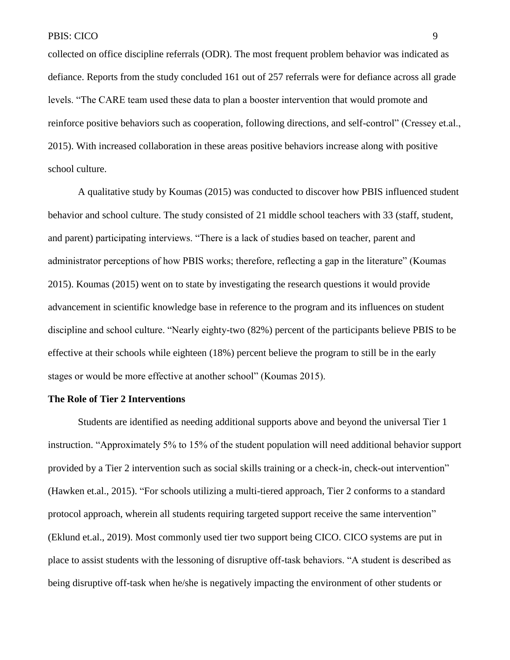collected on office discipline referrals (ODR). The most frequent problem behavior was indicated as defiance. Reports from the study concluded 161 out of 257 referrals were for defiance across all grade levels. "The CARE team used these data to plan a booster intervention that would promote and reinforce positive behaviors such as cooperation, following directions, and self-control" (Cressey et.al., 2015). With increased collaboration in these areas positive behaviors increase along with positive school culture.

A qualitative study by Koumas (2015) was conducted to discover how PBIS influenced student behavior and school culture. The study consisted of 21 middle school teachers with 33 (staff, student, and parent) participating interviews. "There is a lack of studies based on teacher, parent and administrator perceptions of how PBIS works; therefore, reflecting a gap in the literature" (Koumas 2015). Koumas (2015) went on to state by investigating the research questions it would provide advancement in scientific knowledge base in reference to the program and its influences on student discipline and school culture. "Nearly eighty-two (82%) percent of the participants believe PBIS to be effective at their schools while eighteen (18%) percent believe the program to still be in the early stages or would be more effective at another school" (Koumas 2015).

# **The Role of Tier 2 Interventions**

Students are identified as needing additional supports above and beyond the universal Tier 1 instruction. "Approximately 5% to 15% of the student population will need additional behavior support provided by a Tier 2 intervention such as social skills training or a check-in, check-out intervention" (Hawken et.al., 2015). "For schools utilizing a multi-tiered approach, Tier 2 conforms to a standard protocol approach, wherein all students requiring targeted support receive the same intervention" (Eklund et.al., 2019). Most commonly used tier two support being CICO. CICO systems are put in place to assist students with the lessoning of disruptive off-task behaviors. "A student is described as being disruptive off-task when he/she is negatively impacting the environment of other students or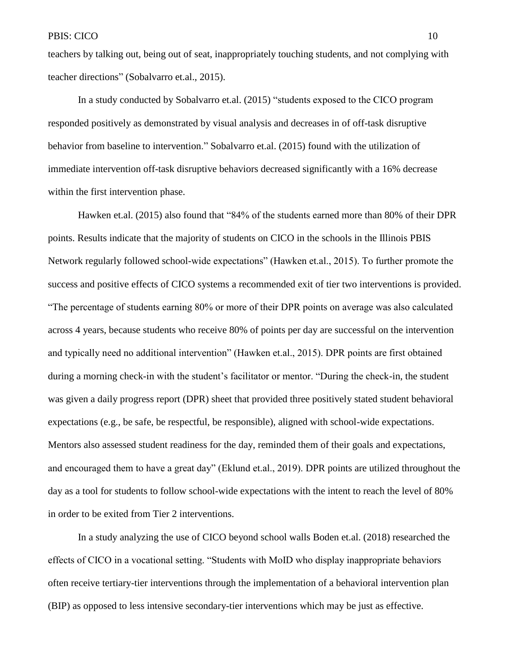teachers by talking out, being out of seat, inappropriately touching students, and not complying with teacher directions" (Sobalvarro et.al., 2015).

In a study conducted by Sobalvarro et.al. (2015) "students exposed to the CICO program responded positively as demonstrated by visual analysis and decreases in of off-task disruptive behavior from baseline to intervention." Sobalvarro et.al. (2015) found with the utilization of immediate intervention off-task disruptive behaviors decreased significantly with a 16% decrease within the first intervention phase.

Hawken et.al. (2015) also found that "84% of the students earned more than 80% of their DPR points. Results indicate that the majority of students on CICO in the schools in the Illinois PBIS Network regularly followed school-wide expectations" (Hawken et.al., 2015). To further promote the success and positive effects of CICO systems a recommended exit of tier two interventions is provided. "The percentage of students earning 80% or more of their DPR points on average was also calculated across 4 years, because students who receive 80% of points per day are successful on the intervention and typically need no additional intervention" (Hawken et.al., 2015). DPR points are first obtained during a morning check-in with the student's facilitator or mentor. "During the check-in, the student was given a daily progress report (DPR) sheet that provided three positively stated student behavioral expectations (e.g., be safe, be respectful, be responsible), aligned with school-wide expectations. Mentors also assessed student readiness for the day, reminded them of their goals and expectations, and encouraged them to have a great day" (Eklund et.al., 2019). DPR points are utilized throughout the day as a tool for students to follow school-wide expectations with the intent to reach the level of 80% in order to be exited from Tier 2 interventions.

In a study analyzing the use of CICO beyond school walls Boden et.al. (2018) researched the effects of CICO in a vocational setting. "Students with MoID who display inappropriate behaviors often receive tertiary-tier interventions through the implementation of a behavioral intervention plan (BIP) as opposed to less intensive secondary-tier interventions which may be just as effective.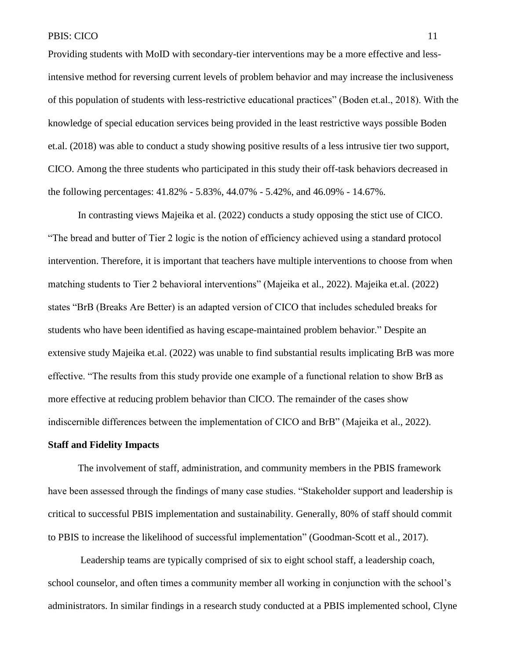Providing students with MoID with secondary-tier interventions may be a more effective and lessintensive method for reversing current levels of problem behavior and may increase the inclusiveness of this population of students with less-restrictive educational practices" (Boden et.al., 2018). With the knowledge of special education services being provided in the least restrictive ways possible Boden et.al. (2018) was able to conduct a study showing positive results of a less intrusive tier two support, CICO. Among the three students who participated in this study their off-task behaviors decreased in the following percentages: 41.82% - 5.83%, 44.07% - 5.42%, and 46.09% - 14.67%.

In contrasting views Majeika et al. (2022) conducts a study opposing the stict use of CICO. "The bread and butter of Tier 2 logic is the notion of efficiency achieved using a standard protocol intervention. Therefore, it is important that teachers have multiple interventions to choose from when matching students to Tier 2 behavioral interventions" (Majeika et al., 2022). Majeika et.al. (2022) states "BrB (Breaks Are Better) is an adapted version of CICO that includes scheduled breaks for students who have been identified as having escape-maintained problem behavior." Despite an extensive study Majeika et.al. (2022) was unable to find substantial results implicating BrB was more effective. "The results from this study provide one example of a functional relation to show BrB as more effective at reducing problem behavior than CICO. The remainder of the cases show indiscernible differences between the implementation of CICO and BrB" (Majeika et al., 2022).

#### **Staff and Fidelity Impacts**

The involvement of staff, administration, and community members in the PBIS framework have been assessed through the findings of many case studies. "Stakeholder support and leadership is critical to successful PBIS implementation and sustainability. Generally, 80% of staff should commit to PBIS to increase the likelihood of successful implementation" (Goodman-Scott et al., 2017).

Leadership teams are typically comprised of six to eight school staff, a leadership coach, school counselor, and often times a community member all working in conjunction with the school's administrators. In similar findings in a research study conducted at a PBIS implemented school, Clyne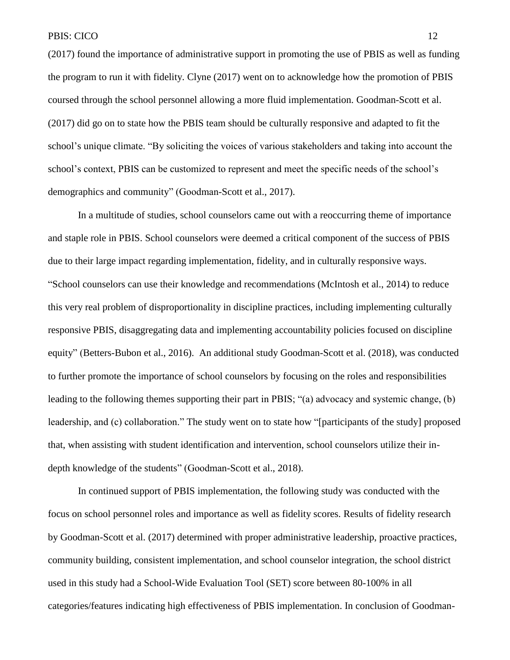(2017) found the importance of administrative support in promoting the use of PBIS as well as funding the program to run it with fidelity. Clyne (2017) went on to acknowledge how the promotion of PBIS coursed through the school personnel allowing a more fluid implementation. Goodman-Scott et al. (2017) did go on to state how the PBIS team should be culturally responsive and adapted to fit the school's unique climate. "By soliciting the voices of various stakeholders and taking into account the school's context, PBIS can be customized to represent and meet the specific needs of the school's demographics and community" (Goodman-Scott et al., 2017).

In a multitude of studies, school counselors came out with a reoccurring theme of importance and staple role in PBIS. School counselors were deemed a critical component of the success of PBIS due to their large impact regarding implementation, fidelity, and in culturally responsive ways. "School counselors can use their knowledge and recommendations (McIntosh et al., 2014) to reduce this very real problem of disproportionality in discipline practices, including implementing culturally responsive PBIS, disaggregating data and implementing accountability policies focused on discipline equity" (Betters-Bubon et al., 2016). An additional study Goodman-Scott et al. (2018), was conducted to further promote the importance of school counselors by focusing on the roles and responsibilities leading to the following themes supporting their part in PBIS; "(a) advocacy and systemic change, (b) leadership, and (c) collaboration." The study went on to state how "[participants of the study] proposed that, when assisting with student identification and intervention, school counselors utilize their indepth knowledge of the students" (Goodman-Scott et al., 2018).

In continued support of PBIS implementation, the following study was conducted with the focus on school personnel roles and importance as well as fidelity scores. Results of fidelity research by Goodman-Scott et al. (2017) determined with proper administrative leadership, proactive practices, community building, consistent implementation, and school counselor integration, the school district used in this study had a School-Wide Evaluation Tool (SET) score between 80-100% in all categories/features indicating high effectiveness of PBIS implementation. In conclusion of Goodman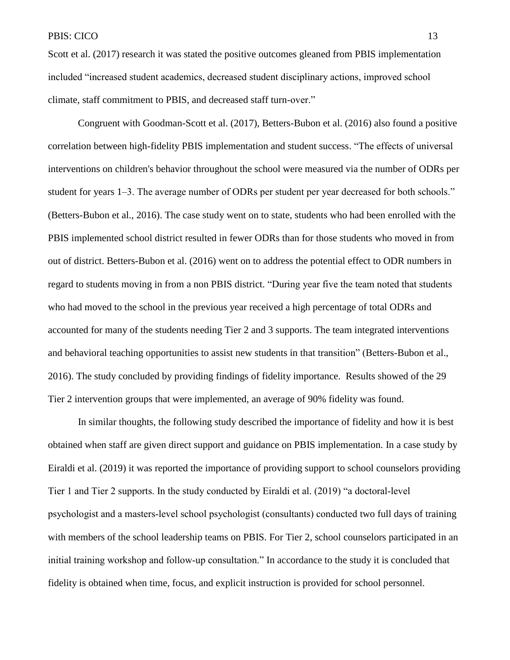Scott et al. (2017) research it was stated the positive outcomes gleaned from PBIS implementation included "increased student academics, decreased student disciplinary actions, improved school climate, staff commitment to PBIS, and decreased staff turn-over."

Congruent with Goodman-Scott et al. (2017), Betters-Bubon et al. (2016) also found a positive correlation between high-fidelity PBIS implementation and student success. "The effects of universal interventions on children's behavior throughout the school were measured via the number of ODRs per student for years 1–3. The average number of ODRs per student per year decreased for both schools." (Betters-Bubon et al., 2016). The case study went on to state, students who had been enrolled with the PBIS implemented school district resulted in fewer ODRs than for those students who moved in from out of district. Betters-Bubon et al. (2016) went on to address the potential effect to ODR numbers in regard to students moving in from a non PBIS district. "During year five the team noted that students who had moved to the school in the previous year received a high percentage of total ODRs and accounted for many of the students needing Tier 2 and 3 supports. The team integrated interventions and behavioral teaching opportunities to assist new students in that transition" (Betters-Bubon et al., 2016). The study concluded by providing findings of fidelity importance. Results showed of the 29 Tier 2 intervention groups that were implemented, an average of 90% fidelity was found.

In similar thoughts, the following study described the importance of fidelity and how it is best obtained when staff are given direct support and guidance on PBIS implementation. In a case study by Eiraldi et al. (2019) it was reported the importance of providing support to school counselors providing Tier 1 and Tier 2 supports. In the study conducted by Eiraldi et al. (2019) "a doctoral‐level psychologist and a masters‐level school psychologist (consultants) conducted two full days of training with members of the school leadership teams on PBIS. For Tier 2, school counselors participated in an initial training workshop and follow‐up consultation." In accordance to the study it is concluded that fidelity is obtained when time, focus, and explicit instruction is provided for school personnel.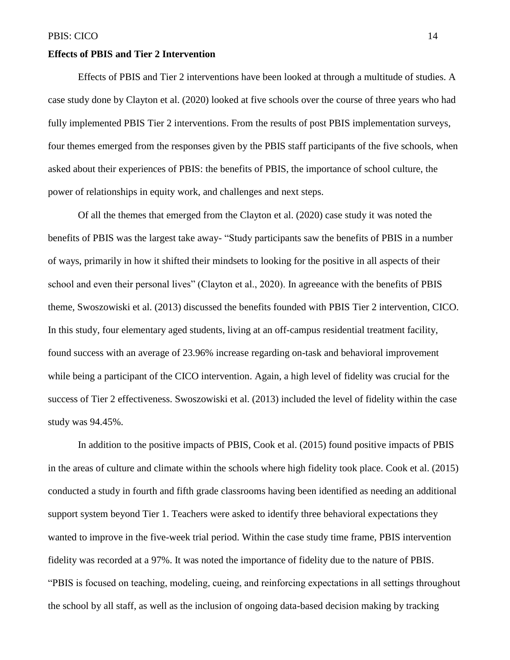#### **Effects of PBIS and Tier 2 Intervention**

Effects of PBIS and Tier 2 interventions have been looked at through a multitude of studies. A case study done by Clayton et al. (2020) looked at five schools over the course of three years who had fully implemented PBIS Tier 2 interventions. From the results of post PBIS implementation surveys, four themes emerged from the responses given by the PBIS staff participants of the five schools, when asked about their experiences of PBIS: the benefits of PBIS, the importance of school culture, the power of relationships in equity work, and challenges and next steps.

Of all the themes that emerged from the Clayton et al. (2020) case study it was noted the benefits of PBIS was the largest take away- "Study participants saw the benefits of PBIS in a number of ways, primarily in how it shifted their mindsets to looking for the positive in all aspects of their school and even their personal lives" (Clayton et al., 2020). In agreeance with the benefits of PBIS theme, Swoszowiski et al. (2013) discussed the benefits founded with PBIS Tier 2 intervention, CICO. In this study, four elementary aged students, living at an off-campus residential treatment facility, found success with an average of 23.96% increase regarding on-task and behavioral improvement while being a participant of the CICO intervention. Again, a high level of fidelity was crucial for the success of Tier 2 effectiveness. Swoszowiski et al. (2013) included the level of fidelity within the case study was 94.45%.

In addition to the positive impacts of PBIS, Cook et al. (2015) found positive impacts of PBIS in the areas of culture and climate within the schools where high fidelity took place. Cook et al. (2015) conducted a study in fourth and fifth grade classrooms having been identified as needing an additional support system beyond Tier 1. Teachers were asked to identify three behavioral expectations they wanted to improve in the five-week trial period. Within the case study time frame, PBIS intervention fidelity was recorded at a 97%. It was noted the importance of fidelity due to the nature of PBIS. "PBIS is focused on teaching, modeling, cueing, and reinforcing expectations in all settings throughout the school by all staff, as well as the inclusion of ongoing data-based decision making by tracking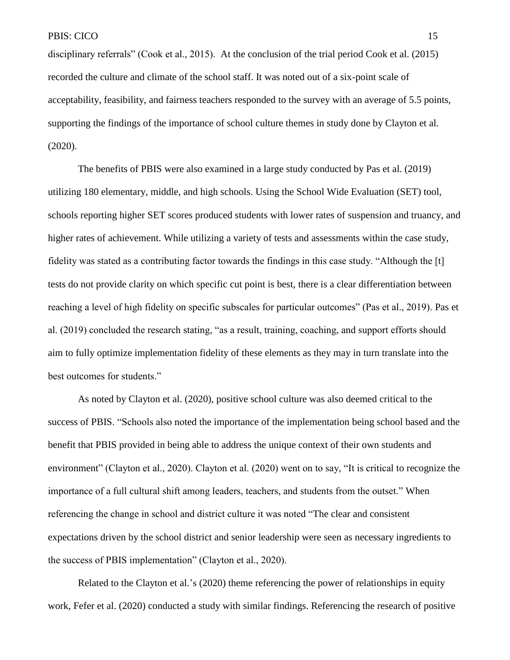disciplinary referrals" (Cook et al., 2015). At the conclusion of the trial period Cook et al. (2015) recorded the culture and climate of the school staff. It was noted out of a six-point scale of acceptability, feasibility, and fairness teachers responded to the survey with an average of 5.5 points, supporting the findings of the importance of school culture themes in study done by Clayton et al. (2020).

The benefits of PBIS were also examined in a large study conducted by Pas et al. (2019) utilizing 180 elementary, middle, and high schools. Using the School Wide Evaluation (SET) tool, schools reporting higher SET scores produced students with lower rates of suspension and truancy, and higher rates of achievement. While utilizing a variety of tests and assessments within the case study, fidelity was stated as a contributing factor towards the findings in this case study. "Although the [t] tests do not provide clarity on which specific cut point is best, there is a clear differentiation between reaching a level of high fidelity on specific subscales for particular outcomes" (Pas et al., 2019). Pas et al. (2019) concluded the research stating, "as a result, training, coaching, and support efforts should aim to fully optimize implementation fidelity of these elements as they may in turn translate into the best outcomes for students."

As noted by Clayton et al. (2020), positive school culture was also deemed critical to the success of PBIS. "Schools also noted the importance of the implementation being school based and the benefit that PBIS provided in being able to address the unique context of their own students and environment" (Clayton et al., 2020). Clayton et al. (2020) went on to say, "It is critical to recognize the importance of a full cultural shift among leaders, teachers, and students from the outset." When referencing the change in school and district culture it was noted "The clear and consistent expectations driven by the school district and senior leadership were seen as necessary ingredients to the success of PBIS implementation" (Clayton et al., 2020).

Related to the Clayton et al.'s (2020) theme referencing the power of relationships in equity work, Fefer et al. (2020) conducted a study with similar findings. Referencing the research of positive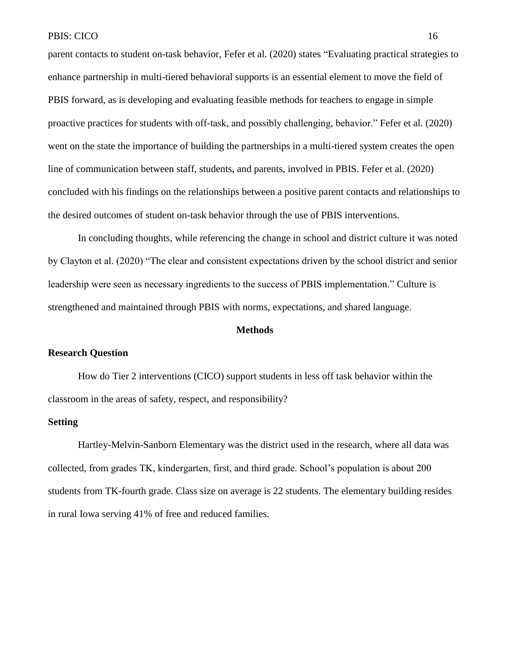parent contacts to student on-task behavior, Fefer et al. (2020) states "Evaluating practical strategies to enhance partnership in multi-tiered behavioral supports is an essential element to move the field of PBIS forward, as is developing and evaluating feasible methods for teachers to engage in simple proactive practices for students with off-task, and possibly challenging, behavior." Fefer et al. (2020) went on the state the importance of building the partnerships in a multi-tiered system creates the open line of communication between staff, students, and parents, involved in PBIS. Fefer et al. (2020) concluded with his findings on the relationships between a positive parent contacts and relationships to the desired outcomes of student on-task behavior through the use of PBIS interventions.

In concluding thoughts, while referencing the change in school and district culture it was noted by Clayton et al. (2020) "The clear and consistent expectations driven by the school district and senior leadership were seen as necessary ingredients to the success of PBIS implementation." Culture is strengthened and maintained through PBIS with norms, expectations, and shared language.

#### **Methods**

## **Research Question**

How do Tier 2 interventions (CICO) support students in less off task behavior within the classroom in the areas of safety, respect, and responsibility?

#### **Setting**

Hartley-Melvin-Sanborn Elementary was the district used in the research, where all data was collected, from grades TK, kindergarten, first, and third grade. School's population is about 200 students from TK-fourth grade. Class size on average is 22 students. The elementary building resides in rural Iowa serving 41% of free and reduced families.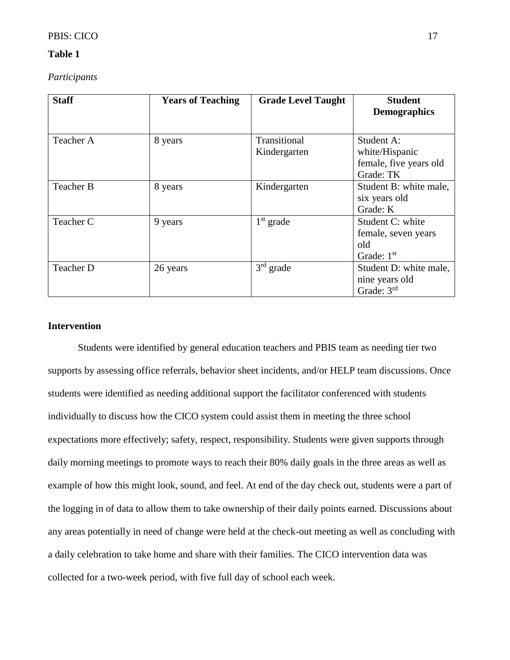# PBIS: CICO 17

#### **Table 1**

*Participants*

| <b>Staff</b> | <b>Years of Teaching</b> | <b>Grade Level Taught</b> | <b>Student</b><br><b>Demographics</b> |
|--------------|--------------------------|---------------------------|---------------------------------------|
|              |                          |                           |                                       |
| Teacher A    | 8 years                  | Transitional              | Student A:                            |
|              |                          | Kindergarten              | white/Hispanic                        |
|              |                          |                           | female, five years old                |
|              |                          |                           | Grade: TK                             |
| Teacher B    | 8 years                  | Kindergarten              | Student B: white male,                |
|              |                          |                           | six years old                         |
|              |                          |                           | Grade: K                              |
| Teacher C    | 9 years                  | $1st$ grade               | Student C: white                      |
|              |                          |                           | female, seven years                   |
|              |                          |                           | old                                   |
|              |                          |                           | Grade: $1st$                          |
| Teacher D    | 26 years                 | $3rd$ grade               | Student D: white male,                |
|              |                          |                           | nine years old                        |
|              |                          |                           | Grade: $3rd$                          |

# **Intervention**

Students were identified by general education teachers and PBIS team as needing tier two supports by assessing office referrals, behavior sheet incidents, and/or HELP team discussions. Once students were identified as needing additional support the facilitator conferenced with students individually to discuss how the CICO system could assist them in meeting the three school expectations more effectively; safety, respect, responsibility. Students were given supports through daily morning meetings to promote ways to reach their 80% daily goals in the three areas as well as example of how this might look, sound, and feel. At end of the day check out, students were a part of the logging in of data to allow them to take ownership of their daily points earned. Discussions about any areas potentially in need of change were held at the check-out meeting as well as concluding with a daily celebration to take home and share with their families. The CICO intervention data was collected for a two-week period, with five full day of school each week.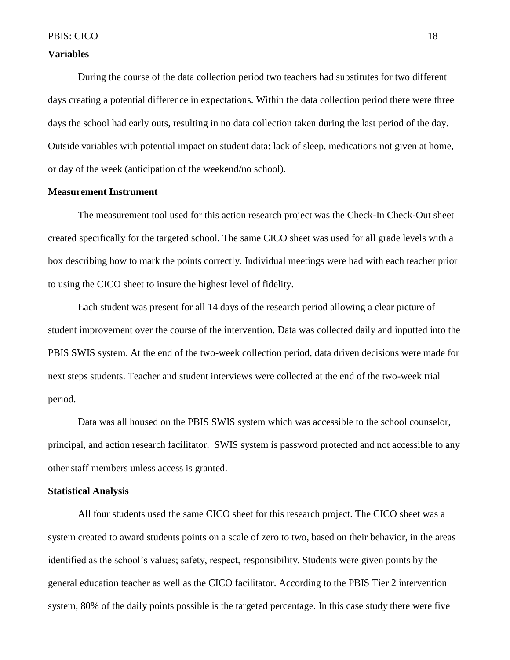### **Variables**

During the course of the data collection period two teachers had substitutes for two different days creating a potential difference in expectations. Within the data collection period there were three days the school had early outs, resulting in no data collection taken during the last period of the day. Outside variables with potential impact on student data: lack of sleep, medications not given at home, or day of the week (anticipation of the weekend/no school).

# **Measurement Instrument**

The measurement tool used for this action research project was the Check-In Check-Out sheet created specifically for the targeted school. The same CICO sheet was used for all grade levels with a box describing how to mark the points correctly. Individual meetings were had with each teacher prior to using the CICO sheet to insure the highest level of fidelity.

Each student was present for all 14 days of the research period allowing a clear picture of student improvement over the course of the intervention. Data was collected daily and inputted into the PBIS SWIS system. At the end of the two-week collection period, data driven decisions were made for next steps students. Teacher and student interviews were collected at the end of the two-week trial period.

Data was all housed on the PBIS SWIS system which was accessible to the school counselor, principal, and action research facilitator. SWIS system is password protected and not accessible to any other staff members unless access is granted.

#### **Statistical Analysis**

All four students used the same CICO sheet for this research project. The CICO sheet was a system created to award students points on a scale of zero to two, based on their behavior, in the areas identified as the school's values; safety, respect, responsibility. Students were given points by the general education teacher as well as the CICO facilitator. According to the PBIS Tier 2 intervention system, 80% of the daily points possible is the targeted percentage. In this case study there were five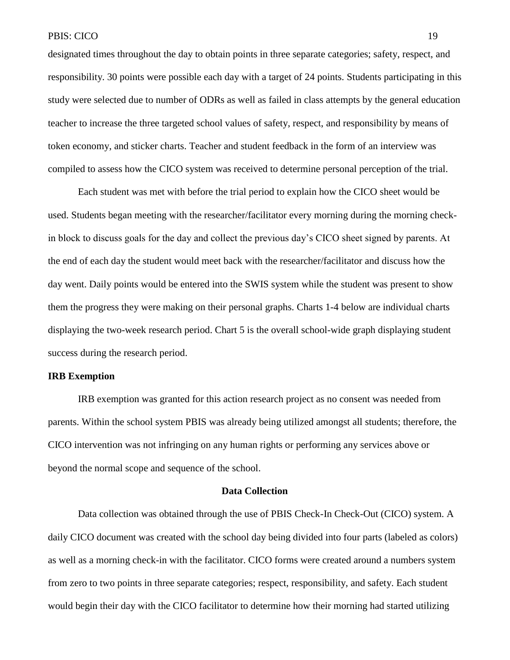designated times throughout the day to obtain points in three separate categories; safety, respect, and responsibility. 30 points were possible each day with a target of 24 points. Students participating in this study were selected due to number of ODRs as well as failed in class attempts by the general education teacher to increase the three targeted school values of safety, respect, and responsibility by means of token economy, and sticker charts. Teacher and student feedback in the form of an interview was compiled to assess how the CICO system was received to determine personal perception of the trial.

Each student was met with before the trial period to explain how the CICO sheet would be used. Students began meeting with the researcher/facilitator every morning during the morning checkin block to discuss goals for the day and collect the previous day's CICO sheet signed by parents. At the end of each day the student would meet back with the researcher/facilitator and discuss how the day went. Daily points would be entered into the SWIS system while the student was present to show them the progress they were making on their personal graphs. Charts 1-4 below are individual charts displaying the two-week research period. Chart 5 is the overall school-wide graph displaying student success during the research period.

# **IRB Exemption**

IRB exemption was granted for this action research project as no consent was needed from parents. Within the school system PBIS was already being utilized amongst all students; therefore, the CICO intervention was not infringing on any human rights or performing any services above or beyond the normal scope and sequence of the school.

# **Data Collection**

Data collection was obtained through the use of PBIS Check-In Check-Out (CICO) system. A daily CICO document was created with the school day being divided into four parts (labeled as colors) as well as a morning check-in with the facilitator. CICO forms were created around a numbers system from zero to two points in three separate categories; respect, responsibility, and safety. Each student would begin their day with the CICO facilitator to determine how their morning had started utilizing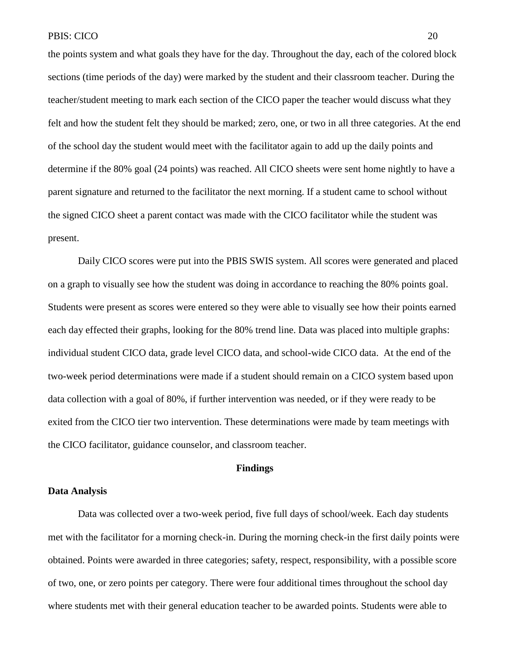the points system and what goals they have for the day. Throughout the day, each of the colored block sections (time periods of the day) were marked by the student and their classroom teacher. During the teacher/student meeting to mark each section of the CICO paper the teacher would discuss what they felt and how the student felt they should be marked; zero, one, or two in all three categories. At the end of the school day the student would meet with the facilitator again to add up the daily points and determine if the 80% goal (24 points) was reached. All CICO sheets were sent home nightly to have a parent signature and returned to the facilitator the next morning. If a student came to school without the signed CICO sheet a parent contact was made with the CICO facilitator while the student was present.

Daily CICO scores were put into the PBIS SWIS system. All scores were generated and placed on a graph to visually see how the student was doing in accordance to reaching the 80% points goal. Students were present as scores were entered so they were able to visually see how their points earned each day effected their graphs, looking for the 80% trend line. Data was placed into multiple graphs: individual student CICO data, grade level CICO data, and school-wide CICO data. At the end of the two-week period determinations were made if a student should remain on a CICO system based upon data collection with a goal of 80%, if further intervention was needed, or if they were ready to be exited from the CICO tier two intervention. These determinations were made by team meetings with the CICO facilitator, guidance counselor, and classroom teacher.

# **Findings**

#### **Data Analysis**

Data was collected over a two-week period, five full days of school/week. Each day students met with the facilitator for a morning check-in. During the morning check-in the first daily points were obtained. Points were awarded in three categories; safety, respect, responsibility, with a possible score of two, one, or zero points per category. There were four additional times throughout the school day where students met with their general education teacher to be awarded points. Students were able to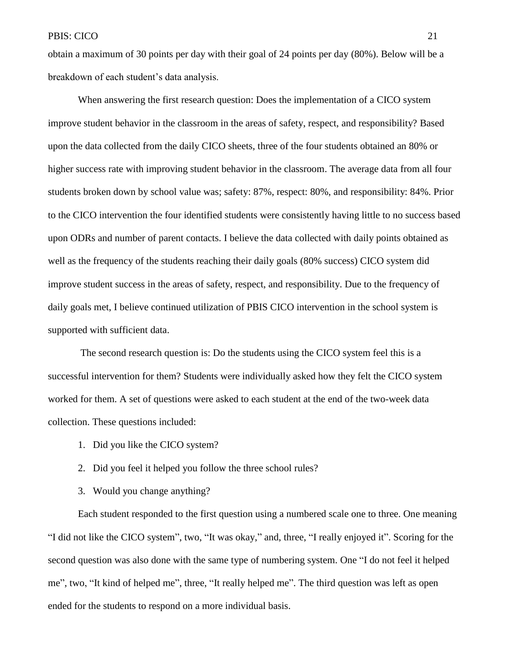obtain a maximum of 30 points per day with their goal of 24 points per day (80%). Below will be a breakdown of each student's data analysis.

When answering the first research question: Does the implementation of a CICO system improve student behavior in the classroom in the areas of safety, respect, and responsibility? Based upon the data collected from the daily CICO sheets, three of the four students obtained an 80% or higher success rate with improving student behavior in the classroom. The average data from all four students broken down by school value was; safety: 87%, respect: 80%, and responsibility: 84%. Prior to the CICO intervention the four identified students were consistently having little to no success based upon ODRs and number of parent contacts. I believe the data collected with daily points obtained as well as the frequency of the students reaching their daily goals (80% success) CICO system did improve student success in the areas of safety, respect, and responsibility. Due to the frequency of daily goals met, I believe continued utilization of PBIS CICO intervention in the school system is supported with sufficient data.

The second research question is: Do the students using the CICO system feel this is a successful intervention for them? Students were individually asked how they felt the CICO system worked for them. A set of questions were asked to each student at the end of the two-week data collection. These questions included:

- 1. Did you like the CICO system?
- 2. Did you feel it helped you follow the three school rules?
- 3. Would you change anything?

Each student responded to the first question using a numbered scale one to three. One meaning "I did not like the CICO system", two, "It was okay," and, three, "I really enjoyed it". Scoring for the second question was also done with the same type of numbering system. One "I do not feel it helped me", two, "It kind of helped me", three, "It really helped me". The third question was left as open ended for the students to respond on a more individual basis.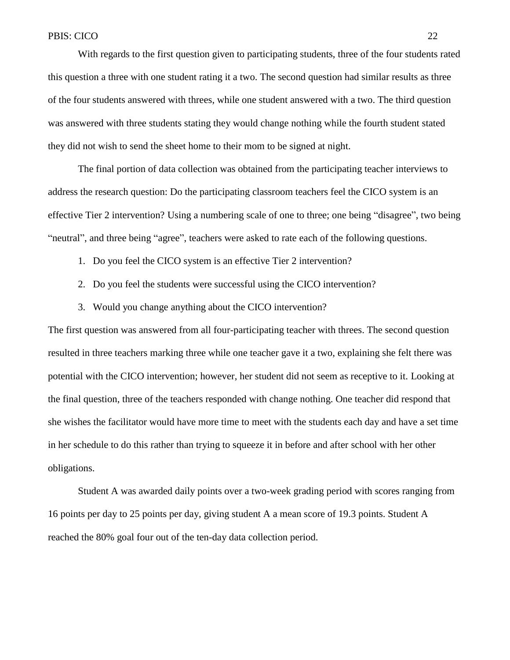With regards to the first question given to participating students, three of the four students rated this question a three with one student rating it a two. The second question had similar results as three of the four students answered with threes, while one student answered with a two. The third question was answered with three students stating they would change nothing while the fourth student stated they did not wish to send the sheet home to their mom to be signed at night.

The final portion of data collection was obtained from the participating teacher interviews to address the research question: Do the participating classroom teachers feel the CICO system is an effective Tier 2 intervention? Using a numbering scale of one to three; one being "disagree", two being "neutral", and three being "agree", teachers were asked to rate each of the following questions.

- 1. Do you feel the CICO system is an effective Tier 2 intervention?
- 2. Do you feel the students were successful using the CICO intervention?
- 3. Would you change anything about the CICO intervention?

The first question was answered from all four-participating teacher with threes. The second question resulted in three teachers marking three while one teacher gave it a two, explaining she felt there was potential with the CICO intervention; however, her student did not seem as receptive to it. Looking at the final question, three of the teachers responded with change nothing. One teacher did respond that she wishes the facilitator would have more time to meet with the students each day and have a set time in her schedule to do this rather than trying to squeeze it in before and after school with her other obligations.

Student A was awarded daily points over a two-week grading period with scores ranging from 16 points per day to 25 points per day, giving student A a mean score of 19.3 points. Student A reached the 80% goal four out of the ten-day data collection period.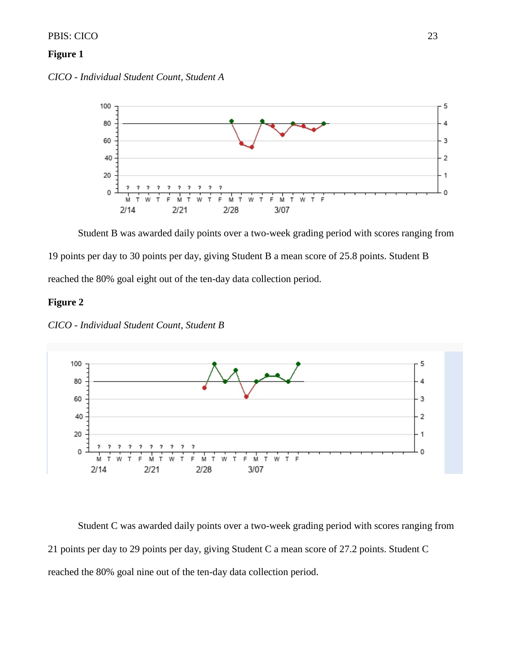### PBIS: CICO 23

# **Figure 1**

*CICO - Individual Student Count, Student A*



Student B was awarded daily points over a two-week grading period with scores ranging from 19 points per day to 30 points per day, giving Student B a mean score of 25.8 points. Student B reached the 80% goal eight out of the ten-day data collection period.

# **Figure 2**

*CICO - Individual Student Count, Student B*



Student C was awarded daily points over a two-week grading period with scores ranging from 21 points per day to 29 points per day, giving Student C a mean score of 27.2 points. Student C reached the 80% goal nine out of the ten-day data collection period.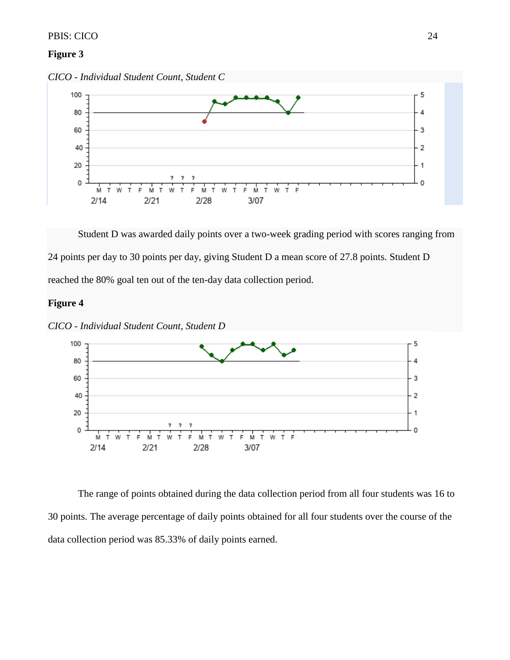#### PBIS: CICO 24

#### **Figure 3**

*CICO - Individual Student Count, Student C*



Student D was awarded daily points over a two-week grading period with scores ranging from 24 points per day to 30 points per day, giving Student D a mean score of 27.8 points. Student D reached the 80% goal ten out of the ten-day data collection period.

# **Figure 4**



*CICO - Individual Student Count, Student D*

The range of points obtained during the data collection period from all four students was 16 to 30 points. The average percentage of daily points obtained for all four students over the course of the data collection period was 85.33% of daily points earned.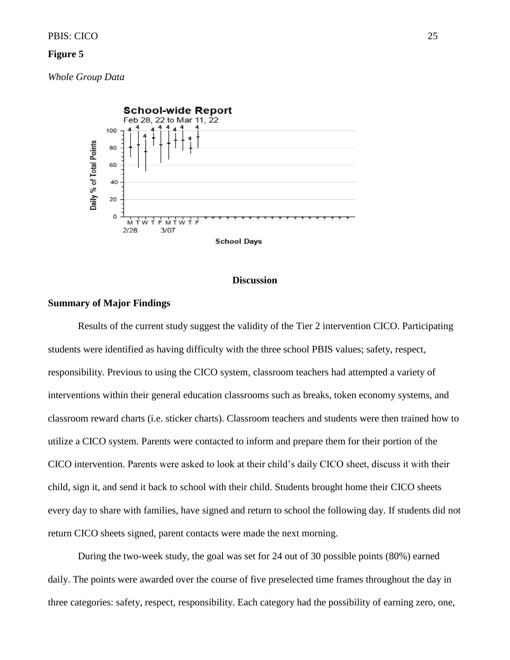# **Figure 5**

*Whole Group Data*



#### **Discussion**

# **Summary of Major Findings**

Results of the current study suggest the validity of the Tier 2 intervention CICO. Participating students were identified as having difficulty with the three school PBIS values; safety, respect, responsibility. Previous to using the CICO system, classroom teachers had attempted a variety of interventions within their general education classrooms such as breaks, token economy systems, and classroom reward charts (i.e. sticker charts). Classroom teachers and students were then trained how to utilize a CICO system. Parents were contacted to inform and prepare them for their portion of the CICO intervention. Parents were asked to look at their child's daily CICO sheet, discuss it with their child, sign it, and send it back to school with their child. Students brought home their CICO sheets every day to share with families, have signed and return to school the following day. If students did not return CICO sheets signed, parent contacts were made the next morning.

During the two-week study, the goal was set for 24 out of 30 possible points (80%) earned daily. The points were awarded over the course of five preselected time frames throughout the day in three categories: safety, respect, responsibility. Each category had the possibility of earning zero, one,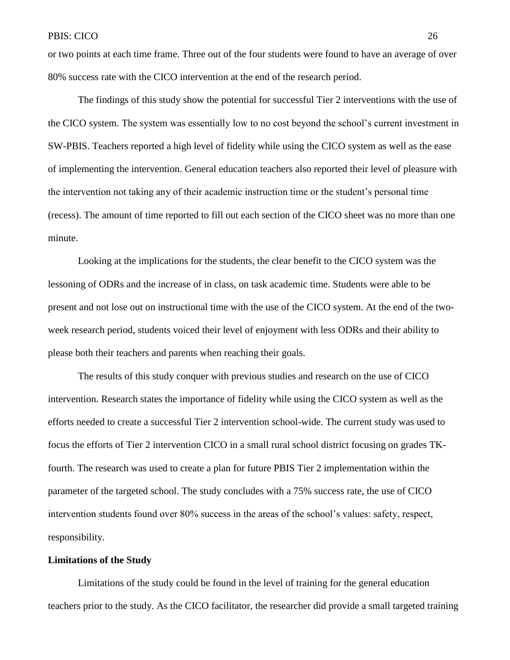or two points at each time frame. Three out of the four students were found to have an average of over 80% success rate with the CICO intervention at the end of the research period.

The findings of this study show the potential for successful Tier 2 interventions with the use of the CICO system. The system was essentially low to no cost beyond the school's current investment in SW-PBIS. Teachers reported a high level of fidelity while using the CICO system as well as the ease of implementing the intervention. General education teachers also reported their level of pleasure with the intervention not taking any of their academic instruction time or the student's personal time (recess). The amount of time reported to fill out each section of the CICO sheet was no more than one minute.

Looking at the implications for the students, the clear benefit to the CICO system was the lessoning of ODRs and the increase of in class, on task academic time. Students were able to be present and not lose out on instructional time with the use of the CICO system. At the end of the twoweek research period, students voiced their level of enjoyment with less ODRs and their ability to please both their teachers and parents when reaching their goals.

The results of this study conquer with previous studies and research on the use of CICO intervention. Research states the importance of fidelity while using the CICO system as well as the efforts needed to create a successful Tier 2 intervention school-wide. The current study was used to focus the efforts of Tier 2 intervention CICO in a small rural school district focusing on grades TKfourth. The research was used to create a plan for future PBIS Tier 2 implementation within the parameter of the targeted school. The study concludes with a 75% success rate, the use of CICO intervention students found over 80% success in the areas of the school's values: safety, respect, responsibility.

#### **Limitations of the Study**

Limitations of the study could be found in the level of training for the general education teachers prior to the study. As the CICO facilitator, the researcher did provide a small targeted training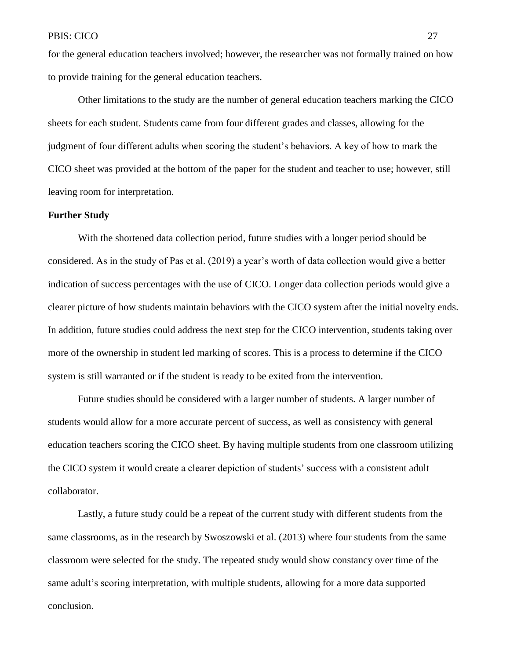for the general education teachers involved; however, the researcher was not formally trained on how to provide training for the general education teachers.

Other limitations to the study are the number of general education teachers marking the CICO sheets for each student. Students came from four different grades and classes, allowing for the judgment of four different adults when scoring the student's behaviors. A key of how to mark the CICO sheet was provided at the bottom of the paper for the student and teacher to use; however, still leaving room for interpretation.

#### **Further Study**

With the shortened data collection period, future studies with a longer period should be considered. As in the study of Pas et al. (2019) a year's worth of data collection would give a better indication of success percentages with the use of CICO. Longer data collection periods would give a clearer picture of how students maintain behaviors with the CICO system after the initial novelty ends. In addition, future studies could address the next step for the CICO intervention, students taking over more of the ownership in student led marking of scores. This is a process to determine if the CICO system is still warranted or if the student is ready to be exited from the intervention.

Future studies should be considered with a larger number of students. A larger number of students would allow for a more accurate percent of success, as well as consistency with general education teachers scoring the CICO sheet. By having multiple students from one classroom utilizing the CICO system it would create a clearer depiction of students' success with a consistent adult collaborator.

Lastly, a future study could be a repeat of the current study with different students from the same classrooms, as in the research by Swoszowski et al. (2013) where four students from the same classroom were selected for the study. The repeated study would show constancy over time of the same adult's scoring interpretation, with multiple students, allowing for a more data supported conclusion.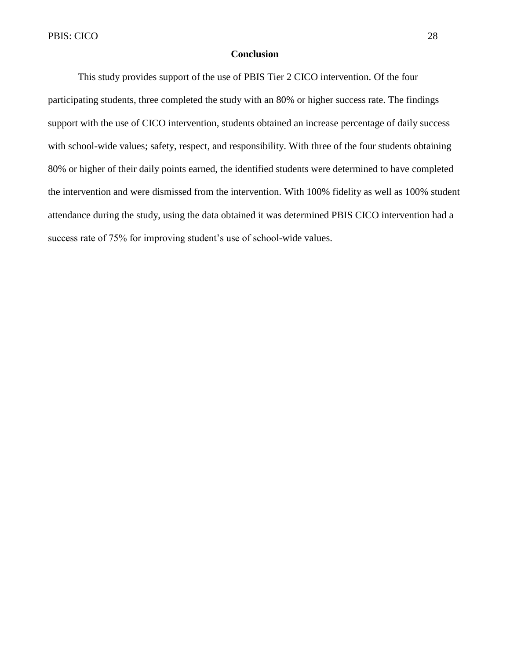#### **Conclusion**

This study provides support of the use of PBIS Tier 2 CICO intervention. Of the four participating students, three completed the study with an 80% or higher success rate. The findings support with the use of CICO intervention, students obtained an increase percentage of daily success with school-wide values; safety, respect, and responsibility. With three of the four students obtaining 80% or higher of their daily points earned, the identified students were determined to have completed the intervention and were dismissed from the intervention. With 100% fidelity as well as 100% student attendance during the study, using the data obtained it was determined PBIS CICO intervention had a success rate of 75% for improving student's use of school-wide values.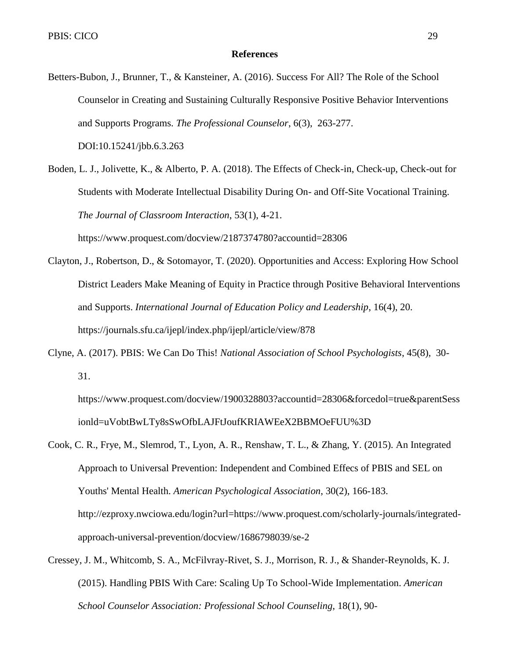#### **References**

- Betters-Bubon, J., Brunner, T., & Kansteiner, A. (2016). Success For All? The Role of the School Counselor in Creating and Sustaining Culturally Responsive Positive Behavior Interventions and Supports Programs. *The Professional Counselor*, 6(3), 263-277. DOI:10.15241/jbb.6.3.263
- Boden, L. J., Jolivette, K., & Alberto, P. A. (2018). The Effects of Check-in, Check-up, Check-out for Students with Moderate Intellectual Disability During On- and Off-Site Vocational Training. *The Journal of Classroom Interaction*, 53(1), 4-21.

https://www.proquest.com/docview/2187374780?accountid=28306

- Clayton, J., Robertson, D., & Sotomayor, T. (2020). Opportunities and Access: Exploring How School District Leaders Make Meaning of Equity in Practice through Positive Behavioral Interventions and Supports. *International Journal of Education Policy and Leadership*, 16(4), 20. https://journals.sfu.ca/ijepl/index.php/ijepl/article/view/878
- Clyne, A. (2017). PBIS: We Can Do This! *National Association of School Psychologists*, 45(8), 30- 31.

https://www.proquest.com/docview/1900328803?accountid=28306&forcedol=true&parentSess ionld=uVobtBwLTy8sSwOfbLAJFtJoufKRIAWEeX2BBMOeFUU%3D

- Cook, C. R., Frye, M., Slemrod, T., Lyon, A. R., Renshaw, T. L., & Zhang, Y. (2015). An Integrated Approach to Universal Prevention: Independent and Combined Effecs of PBIS and SEL on Youths' Mental Health. *American Psychological Association*, 30(2), 166-183. http://ezproxy.nwciowa.edu/login?url=https://www.proquest.com/scholarly-journals/integratedapproach-universal-prevention/docview/1686798039/se-2
- Cressey, J. M., Whitcomb, S. A., McFilvray-Rivet, S. J., Morrison, R. J., & Shander-Reynolds, K. J. (2015). Handling PBIS With Care: Scaling Up To School-Wide Implementation. *American School Counselor Association: Professional School Counseling*, 18(1), 90-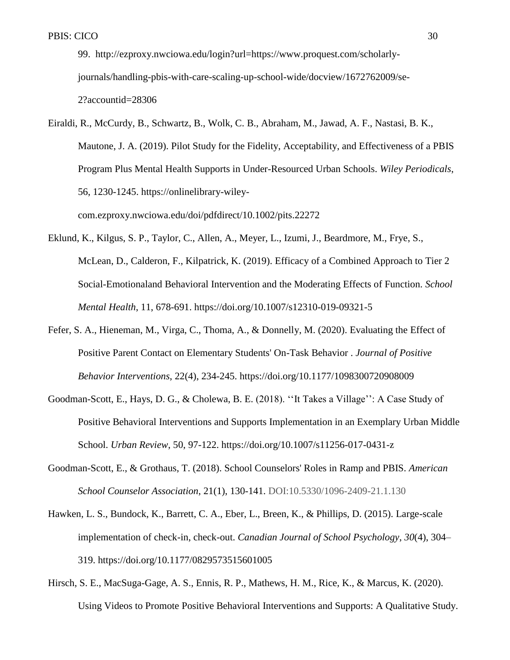99. http://ezproxy.nwciowa.edu/login?url=https://www.proquest.com/scholarlyjournals/handling-pbis-with-care-scaling-up-school-wide/docview/1672762009/se-2?accountid=28306

Eiraldi, R., McCurdy, B., Schwartz, B., Wolk, C. B., Abraham, M., Jawad, A. F., Nastasi, B. K., Mautone, J. A. (2019). Pilot Study for the Fidelity, Acceptability, and Effectiveness of a PBIS Program Plus Mental Health Supports in Under-Resourced Urban Schools. *Wiley Periodicals*, 56, 1230-1245. https://onlinelibrary-wileycom.ezproxy.nwciowa.edu/doi/pdfdirect/10.1002/pits.22272

- Eklund, K., Kilgus, S. P., Taylor, C., Allen, A., Meyer, L., Izumi, J., Beardmore, M., Frye, S., McLean, D., Calderon, F., Kilpatrick, K. (2019). Efficacy of a Combined Approach to Tier 2 Social-Emotionaland Behavioral Intervention and the Moderating Effects of Function. *School Mental Health*, 11, 678-691. https://doi.org/10.1007/s12310-019-09321-5
- Fefer, S. A., Hieneman, M., Virga, C., Thoma, A., & Donnelly, M. (2020). Evaluating the Effect of Positive Parent Contact on Elementary Students' On-Task Behavior . *Journal of Positive Behavior Interventions*, 22(4), 234-245. https://doi.org/10.1177/1098300720908009
- Goodman-Scott, E., Hays, D. G., & Cholewa, B. E. (2018). ''It Takes a Village'': A Case Study of Positive Behavioral Interventions and Supports Implementation in an Exemplary Urban Middle School. *Urban Review*, 50, 97-122. https://doi.org/10.1007/s11256-017-0431-z
- Goodman-Scott, E., & Grothaus, T. (2018). School Counselors' Roles in Ramp and PBIS. *American School Counselor Association*, 21(1), 130-141. DOI:10.5330/1096-2409-21.1.130
- Hawken, L. S., Bundock, K., Barrett, C. A., Eber, L., Breen, K., & Phillips, D. (2015). Large-scale implementation of check-in, check-out. *Canadian Journal of School Psychology*, *30*(4), 304– 319. https://doi.org/10.1177/0829573515601005
- Hirsch, S. E., MacSuga-Gage, A. S., Ennis, R. P., Mathews, H. M., Rice, K., & Marcus, K. (2020). Using Videos to Promote Positive Behavioral Interventions and Supports: A Qualitative Study.